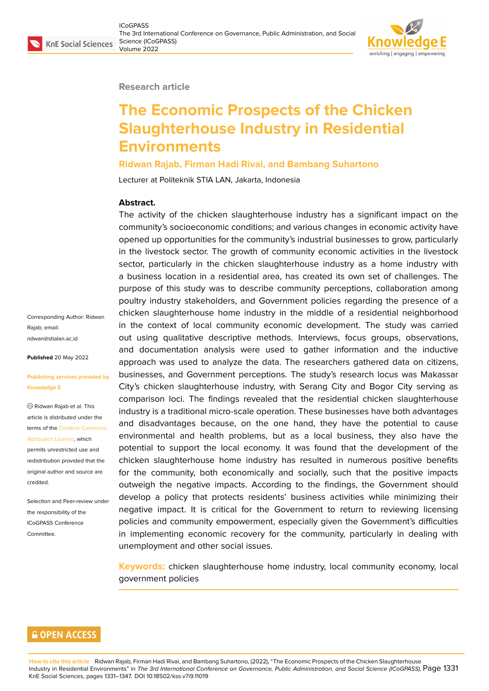

#### **Research article**

# **The Economic Prospects of the Chicken Slaughterhouse Industry in Residential Environments**

#### **Ridwan Rajab, Firman Hadi Rivai, and Bambang Suhartono**

Lecturer at Politeknik STIA LAN, Jakarta, Indonesia

#### **Abstract.**

The activity of the chicken slaughterhouse industry has a significant impact on the community's socioeconomic conditions; and various changes in economic activity have opened up opportunities for the community's industrial businesses to grow, particularly in the livestock sector. The growth of community economic activities in the livestock sector, particularly in the chicken slaughterhouse industry as a home industry with a business location in a residential area, has created its own set of challenges. The purpose of this study was to describe community perceptions, collaboration among poultry industry stakeholders, and Government policies regarding the presence of a chicken slaughterhouse home industry in the middle of a residential neighborhood in the context of local community economic development. The study was carried out using qualitative descriptive methods. Interviews, focus groups, observations, and documentation analysis were used to gather information and the inductive approach was used to analyze the data. The researchers gathered data on citizens, businesses, and Government perceptions. The study's research locus was Makassar City's chicken slaughterhouse industry, with Serang City and Bogor City serving as comparison loci. The findings revealed that the residential chicken slaughterhouse industry is a traditional micro-scale operation. These businesses have both advantages and disadvantages because, on the one hand, they have the potential to cause environmental and health problems, but as a local business, they also have the potential to support the local economy. It was found that the development of the chicken slaughterhouse home industry has resulted in numerous positive benefits for the community, both economically and socially, such that the positive impacts outweigh the negative impacts. According to the findings, the Government should develop a policy that protects residents' business activities while minimizing their negative impact. It is critical for the Government to return to reviewing licensing policies and community empowerment, especially given the Government's difficulties in implementing economic recovery for the community, particularly in dealing with unemployment and other social issues.

**Keywords:** chicken slaughterhouse home industry, local community economy, local government policies

### **GOPEN ACCESS**

**How to cite this article**: Ridwan Rajab, Firman Hadi Rivai, and Bambang Suhartono, (2022), "The Economic Prospects of the Chicken Slaughterhouse Industry in Residential Environments" in *The 3rd International Conference on Governance, Public Administration, and Social Science (ICoGPASS)*, Page 1331 KnE Social Sciences, pages 1331–1347. DOI 10.18502/kss.v7i9.11019

Corresponding Author: Ridwan Rajab; email: ridwan@stialan.ac.id

#### **Published** 20 May 2022

#### **[Publishing services](mailto:ridwan@stialan.ac.id) provided by Knowledge E**

Ridwan Rajab et al. This article is distributed under the terms of the Creative Commons Attribution License, which

permits unrestricted use and redistribution provided that the original auth[or and source are](https://creativecommons.org/licenses/by/4.0/) [credited.](https://creativecommons.org/licenses/by/4.0/)

Selection and Peer-review under the responsibility of the ICoGPASS Conference Committee.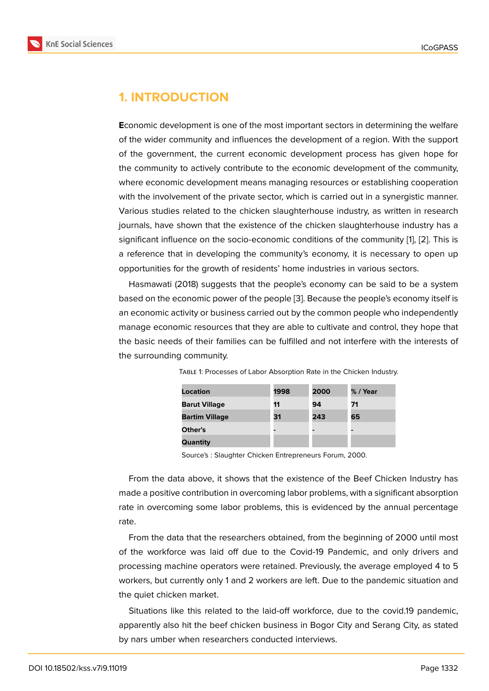## **1. INTRODUCTION**

**E**conomic development is one of the most important sectors in determining the welfare of the wider community and influences the development of a region. With the support of the government, the current economic development process has given hope for the community to actively contribute to the economic development of the community, where economic development means managing resources or establishing cooperation with the involvement of the private sector, which is carried out in a synergistic manner. Various studies related to the chicken slaughterhouse industry, as written in research journals, have shown that the existence of the chicken slaughterhouse industry has a significant influence on the socio-economic conditions of the community [1], [2]. This is a reference that in developing the community's economy, it is necessary to open up opportunities for the growth of residents' home industries in various sectors.

Hasmawati (2018) suggests that the people's economy can be said to [b](#page-15-0)e [a](#page-15-1) system based on the economic power of the people [3]. Because the people's economy itself is an economic activity or business carried out by the common people who independently manage economic resources that they are able to cultivate and control, they hope that the basic needs of their families can be fulfil[le](#page-15-2)d and not interfere with the interests of the surrounding community.

| Location              | 1998 | 2000 | % / Year |
|-----------------------|------|------|----------|
| <b>Barut Village</b>  | 11   | 94   | 71       |
| <b>Bartim Village</b> | 31   | 243  | 65       |
| Other's               |      |      | -        |
| Quantity              |      |      |          |

Table 1: Processes of Labor Absorption Rate in the Chicken Industry.

Source's : Slaughter Chicken Entrepreneurs Forum, 2000.

From the data above, it shows that the existence of the Beef Chicken Industry has made a positive contribution in overcoming labor problems, with a significant absorption rate in overcoming some labor problems, this is evidenced by the annual percentage rate.

From the data that the researchers obtained, from the beginning of 2000 until most of the workforce was laid off due to the Covid-19 Pandemic, and only drivers and processing machine operators were retained. Previously, the average employed 4 to 5 workers, but currently only 1 and 2 workers are left. Due to the pandemic situation and the quiet chicken market.

Situations like this related to the laid-off workforce, due to the covid.19 pandemic, apparently also hit the beef chicken business in Bogor City and Serang City, as stated by nars umber when researchers conducted interviews.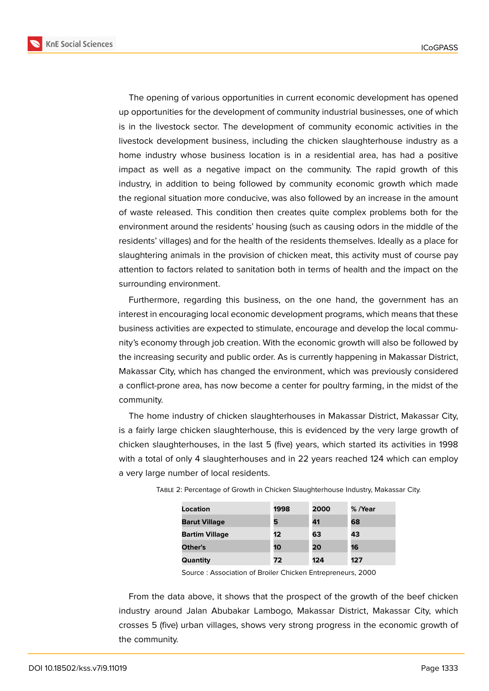

The opening of various opportunities in current economic development has opened up opportunities for the development of community industrial businesses, one of which is in the livestock sector. The development of community economic activities in the livestock development business, including the chicken slaughterhouse industry as a home industry whose business location is in a residential area, has had a positive impact as well as a negative impact on the community. The rapid growth of this industry, in addition to being followed by community economic growth which made the regional situation more conducive, was also followed by an increase in the amount of waste released. This condition then creates quite complex problems both for the environment around the residents' housing (such as causing odors in the middle of the residents' villages) and for the health of the residents themselves. Ideally as a place for slaughtering animals in the provision of chicken meat, this activity must of course pay attention to factors related to sanitation both in terms of health and the impact on the surrounding environment.

Furthermore, regarding this business, on the one hand, the government has an interest in encouraging local economic development programs, which means that these business activities are expected to stimulate, encourage and develop the local community's economy through job creation. With the economic growth will also be followed by the increasing security and public order. As is currently happening in Makassar District, Makassar City, which has changed the environment, which was previously considered a conflict-prone area, has now become a center for poultry farming, in the midst of the community.

The home industry of chicken slaughterhouses in Makassar District, Makassar City, is a fairly large chicken slaughterhouse, this is evidenced by the very large growth of chicken slaughterhouses, in the last 5 (five) years, which started its activities in 1998 with a total of only 4 slaughterhouses and in 22 years reached 124 which can employ a very large number of local residents.

| Location              | 1998 | 2000 | % /Year |
|-----------------------|------|------|---------|
| <b>Barut Village</b>  | 5    | 41   | 68      |
| <b>Bartim Village</b> | 12   | 63   | 43      |
| Other's               | 10   | 20   | 16      |
| Quantity              | 72   | 124  | 127     |

| TABLE 2: Percentage of Growth in Chicken Slaughterhouse Industry, Makassar City. |  |  |
|----------------------------------------------------------------------------------|--|--|
|                                                                                  |  |  |
|                                                                                  |  |  |
|                                                                                  |  |  |

Source : Association of Broiler Chicken Entrepreneurs, 2000

From the data above, it shows that the prospect of the growth of the beef chicken industry around Jalan Abubakar Lambogo, Makassar District, Makassar City, which crosses 5 (five) urban villages, shows very strong progress in the economic growth of the community.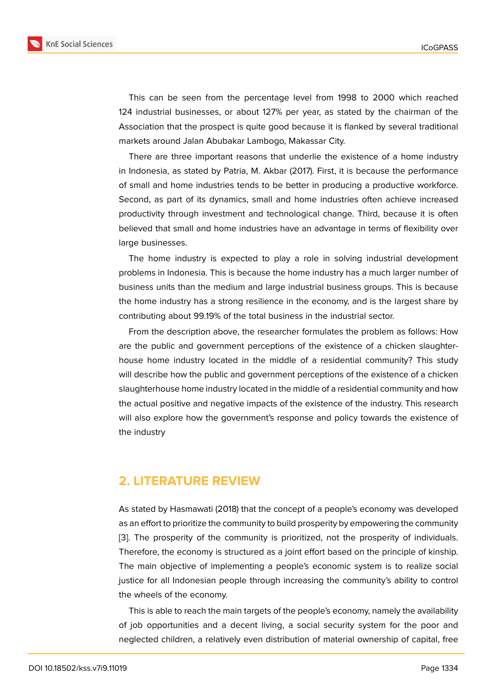This can be seen from the percentage level from 1998 to 2000 which reached 124 industrial businesses, or about 127% per year, as stated by the chairman of the Association that the prospect is quite good because it is flanked by several traditional markets around Jalan Abubakar Lambogo, Makassar City.

There are three important reasons that underlie the existence of a home industry in Indonesia, as stated by Patria, M. Akbar (2017). First, it is because the performance of small and home industries tends to be better in producing a productive workforce. Second, as part of its dynamics, small and home industries often achieve increased productivity through investment and technological change. Third, because it is often believed that small and home industries have an advantage in terms of flexibility over large businesses.

The home industry is expected to play a role in solving industrial development problems in Indonesia. This is because the home industry has a much larger number of business units than the medium and large industrial business groups. This is because the home industry has a strong resilience in the economy, and is the largest share by contributing about 99.19% of the total business in the industrial sector.

From the description above, the researcher formulates the problem as follows: How are the public and government perceptions of the existence of a chicken slaughterhouse home industry located in the middle of a residential community? This study will describe how the public and government perceptions of the existence of a chicken slaughterhouse home industry located in the middle of a residential community and how the actual positive and negative impacts of the existence of the industry. This research will also explore how the government's response and policy towards the existence of the industry

### **2. LITERATURE REVIEW**

As stated by Hasmawati (2018) that the concept of a people's economy was developed as an effort to prioritize the community to build prosperity by empowering the community [3]. The prosperity of the community is prioritized, not the prosperity of individuals. Therefore, the economy is structured as a joint effort based on the principle of kinship. The main objective of implementing a people's economic system is to realize social j[us](#page-15-2)tice for all Indonesian people through increasing the community's ability to control the wheels of the economy.

This is able to reach the main targets of the people's economy, namely the availability of job opportunities and a decent living, a social security system for the poor and neglected children, a relatively even distribution of material ownership of capital, free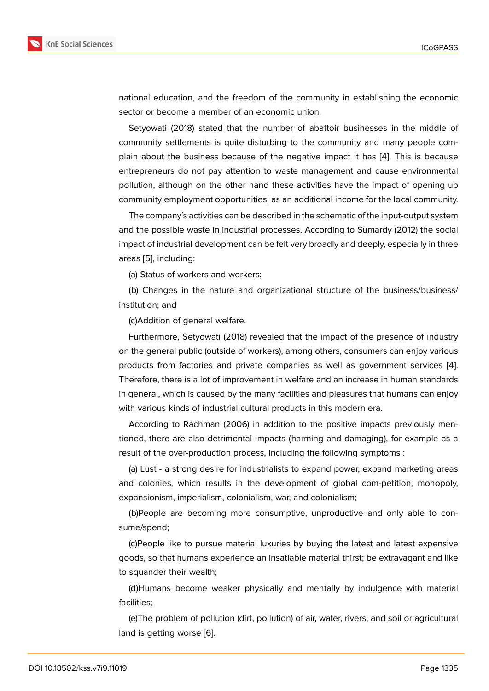national education, and the freedom of the community in establishing the economic sector or become a member of an economic union.

Setyowati (2018) stated that the number of abattoir businesses in the middle of community settlements is quite disturbing to the community and many people complain about the business because of the negative impact it has [4]. This is because entrepreneurs do not pay attention to waste management and cause environmental pollution, although on the other hand these activities have the impact of opening up community employment opportunities, as an additional income for t[he](#page-15-3) local community.

The company's activities can be described in the schematic of the input-output system and the possible waste in industrial processes. According to Sumardy (2012) the social impact of industrial development can be felt very broadly and deeply, especially in three areas [5], including:

(a) Status of workers and workers;

(b) Changes in the nature and organizational structure of the business/business/ institut[io](#page-15-4)n; and

(c)Addition of general welfare.

Furthermore, Setyowati (2018) revealed that the impact of the presence of industry on the general public (outside of workers), among others, consumers can enjoy various products from factories and private companies as well as government services [4]. Therefore, there is a lot of improvement in welfare and an increase in human standards in general, which is caused by the many facilities and pleasures that humans can enjoy with various kinds of industrial cultural products in this modern era.

According to Rachman (2006) in addition to the positive impacts previously mentioned, there are also detrimental impacts (harming and damaging), for example as a result of the over-production process, including the following symptoms :

(a) Lust - a strong desire for industrialists to expand power, expand marketing areas and colonies, which results in the development of global com-petition, monopoly, expansionism, imperialism, colonialism, war, and colonialism;

(b)People are becoming more consumptive, unproductive and only able to consume/spend;

(c)People like to pursue material luxuries by buying the latest and latest expensive goods, so that humans experience an insatiable material thirst; be extravagant and like to squander their wealth;

(d)Humans become weaker physically and mentally by indulgence with material facilities;

(e)The problem of pollution (dirt, pollution) of air, water, rivers, and soil or agricultural land is getting worse [6].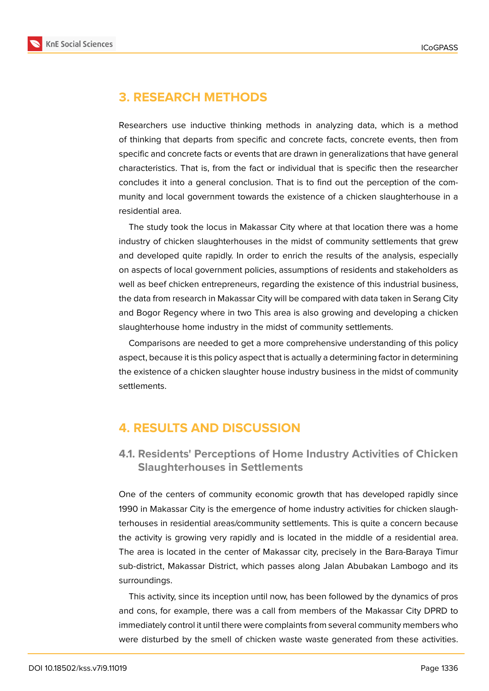

# **3. RESEARCH METHODS**

Researchers use inductive thinking methods in analyzing data, which is a method of thinking that departs from specific and concrete facts, concrete events, then from specific and concrete facts or events that are drawn in generalizations that have general characteristics. That is, from the fact or individual that is specific then the researcher concludes it into a general conclusion. That is to find out the perception of the community and local government towards the existence of a chicken slaughterhouse in a residential area.

The study took the locus in Makassar City where at that location there was a home industry of chicken slaughterhouses in the midst of community settlements that grew and developed quite rapidly. In order to enrich the results of the analysis, especially on aspects of local government policies, assumptions of residents and stakeholders as well as beef chicken entrepreneurs, regarding the existence of this industrial business, the data from research in Makassar City will be compared with data taken in Serang City and Bogor Regency where in two This area is also growing and developing a chicken slaughterhouse home industry in the midst of community settlements.

Comparisons are needed to get a more comprehensive understanding of this policy aspect, because it is this policy aspect that is actually a determining factor in determining the existence of a chicken slaughter house industry business in the midst of community settlements.

## **4. RESULTS AND DISCUSSION**

## **4.1. Residents' Perceptions of Home Industry Activities of Chicken Slaughterhouses in Settlements**

One of the centers of community economic growth that has developed rapidly since 1990 in Makassar City is the emergence of home industry activities for chicken slaughterhouses in residential areas/community settlements. This is quite a concern because the activity is growing very rapidly and is located in the middle of a residential area. The area is located in the center of Makassar city, precisely in the Bara-Baraya Timur sub-district, Makassar District, which passes along Jalan Abubakan Lambogo and its surroundings.

This activity, since its inception until now, has been followed by the dynamics of pros and cons, for example, there was a call from members of the Makassar City DPRD to immediately control it until there were complaints from several community members who were disturbed by the smell of chicken waste waste generated from these activities.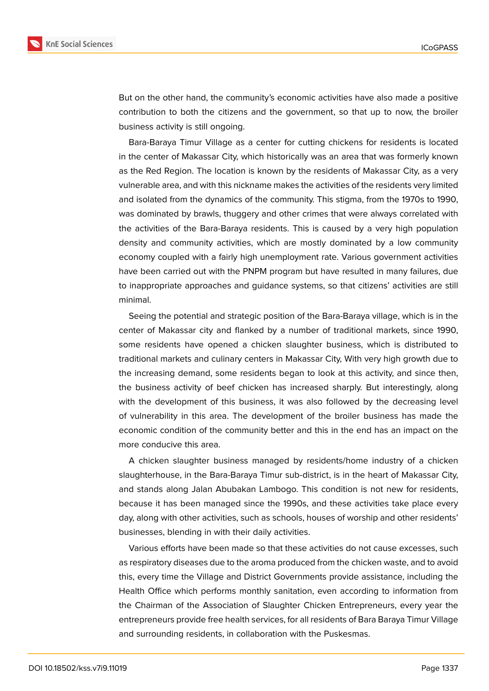

But on the other hand, the community's economic activities have also made a positive contribution to both the citizens and the government, so that up to now, the broiler business activity is still ongoing.

Bara-Baraya Timur Village as a center for cutting chickens for residents is located in the center of Makassar City, which historically was an area that was formerly known as the Red Region. The location is known by the residents of Makassar City, as a very vulnerable area, and with this nickname makes the activities of the residents very limited and isolated from the dynamics of the community. This stigma, from the 1970s to 1990, was dominated by brawls, thuggery and other crimes that were always correlated with the activities of the Bara-Baraya residents. This is caused by a very high population density and community activities, which are mostly dominated by a low community economy coupled with a fairly high unemployment rate. Various government activities have been carried out with the PNPM program but have resulted in many failures, due to inappropriate approaches and guidance systems, so that citizens' activities are still minimal.

Seeing the potential and strategic position of the Bara-Baraya village, which is in the center of Makassar city and flanked by a number of traditional markets, since 1990, some residents have opened a chicken slaughter business, which is distributed to traditional markets and culinary centers in Makassar City, With very high growth due to the increasing demand, some residents began to look at this activity, and since then, the business activity of beef chicken has increased sharply. But interestingly, along with the development of this business, it was also followed by the decreasing level of vulnerability in this area. The development of the broiler business has made the economic condition of the community better and this in the end has an impact on the more conducive this area.

A chicken slaughter business managed by residents/home industry of a chicken slaughterhouse, in the Bara-Baraya Timur sub-district, is in the heart of Makassar City, and stands along Jalan Abubakan Lambogo. This condition is not new for residents, because it has been managed since the 1990s, and these activities take place every day, along with other activities, such as schools, houses of worship and other residents' businesses, blending in with their daily activities.

Various efforts have been made so that these activities do not cause excesses, such as respiratory diseases due to the aroma produced from the chicken waste, and to avoid this, every time the Village and District Governments provide assistance, including the Health Office which performs monthly sanitation, even according to information from the Chairman of the Association of Slaughter Chicken Entrepreneurs, every year the entrepreneurs provide free health services, for all residents of Bara Baraya Timur Village and surrounding residents, in collaboration with the Puskesmas.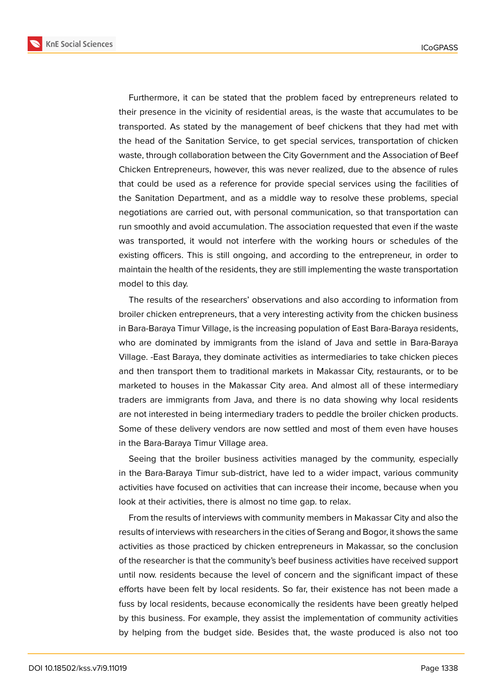

Furthermore, it can be stated that the problem faced by entrepreneurs related to their presence in the vicinity of residential areas, is the waste that accumulates to be transported. As stated by the management of beef chickens that they had met with the head of the Sanitation Service, to get special services, transportation of chicken waste, through collaboration between the City Government and the Association of Beef Chicken Entrepreneurs, however, this was never realized, due to the absence of rules that could be used as a reference for provide special services using the facilities of the Sanitation Department, and as a middle way to resolve these problems, special negotiations are carried out, with personal communication, so that transportation can run smoothly and avoid accumulation. The association requested that even if the waste was transported, it would not interfere with the working hours or schedules of the existing officers. This is still ongoing, and according to the entrepreneur, in order to maintain the health of the residents, they are still implementing the waste transportation model to this day.

The results of the researchers' observations and also according to information from broiler chicken entrepreneurs, that a very interesting activity from the chicken business in Bara-Baraya Timur Village, is the increasing population of East Bara-Baraya residents, who are dominated by immigrants from the island of Java and settle in Bara-Baraya Village. -East Baraya, they dominate activities as intermediaries to take chicken pieces and then transport them to traditional markets in Makassar City, restaurants, or to be marketed to houses in the Makassar City area. And almost all of these intermediary traders are immigrants from Java, and there is no data showing why local residents are not interested in being intermediary traders to peddle the broiler chicken products. Some of these delivery vendors are now settled and most of them even have houses in the Bara-Baraya Timur Village area.

Seeing that the broiler business activities managed by the community, especially in the Bara-Baraya Timur sub-district, have led to a wider impact, various community activities have focused on activities that can increase their income, because when you look at their activities, there is almost no time gap. to relax.

From the results of interviews with community members in Makassar City and also the results of interviews with researchers in the cities of Serang and Bogor, it shows the same activities as those practiced by chicken entrepreneurs in Makassar, so the conclusion of the researcher is that the community's beef business activities have received support until now. residents because the level of concern and the significant impact of these efforts have been felt by local residents. So far, their existence has not been made a fuss by local residents, because economically the residents have been greatly helped by this business. For example, they assist the implementation of community activities by helping from the budget side. Besides that, the waste produced is also not too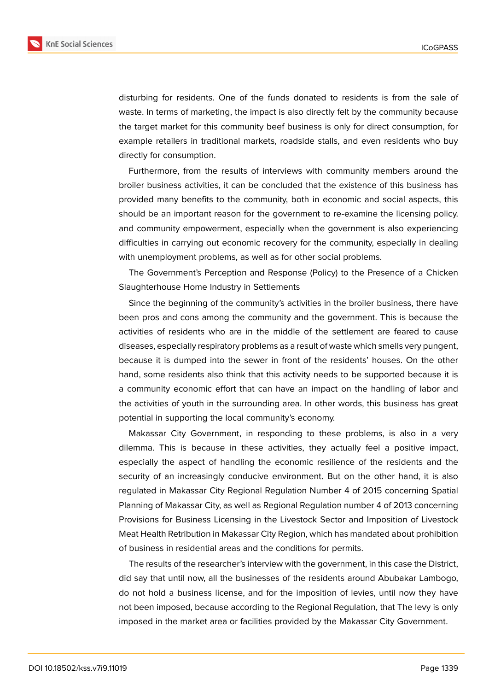

disturbing for residents. One of the funds donated to residents is from the sale of waste. In terms of marketing, the impact is also directly felt by the community because the target market for this community beef business is only for direct consumption, for example retailers in traditional markets, roadside stalls, and even residents who buy directly for consumption.

Furthermore, from the results of interviews with community members around the broiler business activities, it can be concluded that the existence of this business has provided many benefits to the community, both in economic and social aspects, this should be an important reason for the government to re-examine the licensing policy. and community empowerment, especially when the government is also experiencing difficulties in carrying out economic recovery for the community, especially in dealing with unemployment problems, as well as for other social problems.

The Government's Perception and Response (Policy) to the Presence of a Chicken Slaughterhouse Home Industry in Settlements

Since the beginning of the community's activities in the broiler business, there have been pros and cons among the community and the government. This is because the activities of residents who are in the middle of the settlement are feared to cause diseases, especially respiratory problems as a result of waste which smells very pungent, because it is dumped into the sewer in front of the residents' houses. On the other hand, some residents also think that this activity needs to be supported because it is a community economic effort that can have an impact on the handling of labor and the activities of youth in the surrounding area. In other words, this business has great potential in supporting the local community's economy.

Makassar City Government, in responding to these problems, is also in a very dilemma. This is because in these activities, they actually feel a positive impact, especially the aspect of handling the economic resilience of the residents and the security of an increasingly conducive environment. But on the other hand, it is also regulated in Makassar City Regional Regulation Number 4 of 2015 concerning Spatial Planning of Makassar City, as well as Regional Regulation number 4 of 2013 concerning Provisions for Business Licensing in the Livestock Sector and Imposition of Livestock Meat Health Retribution in Makassar City Region, which has mandated about prohibition of business in residential areas and the conditions for permits.

The results of the researcher's interview with the government, in this case the District, did say that until now, all the businesses of the residents around Abubakar Lambogo, do not hold a business license, and for the imposition of levies, until now they have not been imposed, because according to the Regional Regulation, that The levy is only imposed in the market area or facilities provided by the Makassar City Government.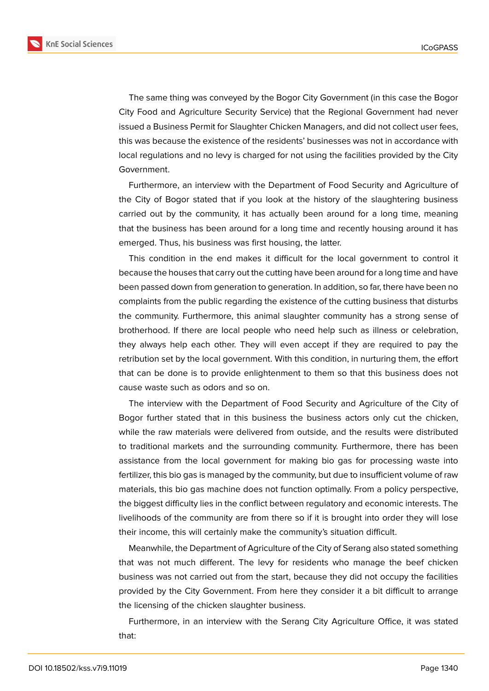

The same thing was conveyed by the Bogor City Government (in this case the Bogor City Food and Agriculture Security Service) that the Regional Government had never issued a Business Permit for Slaughter Chicken Managers, and did not collect user fees, this was because the existence of the residents' businesses was not in accordance with local regulations and no levy is charged for not using the facilities provided by the City Government.

Furthermore, an interview with the Department of Food Security and Agriculture of the City of Bogor stated that if you look at the history of the slaughtering business carried out by the community, it has actually been around for a long time, meaning that the business has been around for a long time and recently housing around it has emerged. Thus, his business was first housing, the latter.

This condition in the end makes it difficult for the local government to control it because the houses that carry out the cutting have been around for a long time and have been passed down from generation to generation. In addition, so far, there have been no complaints from the public regarding the existence of the cutting business that disturbs the community. Furthermore, this animal slaughter community has a strong sense of brotherhood. If there are local people who need help such as illness or celebration, they always help each other. They will even accept if they are required to pay the retribution set by the local government. With this condition, in nurturing them, the effort that can be done is to provide enlightenment to them so that this business does not cause waste such as odors and so on.

The interview with the Department of Food Security and Agriculture of the City of Bogor further stated that in this business the business actors only cut the chicken, while the raw materials were delivered from outside, and the results were distributed to traditional markets and the surrounding community. Furthermore, there has been assistance from the local government for making bio gas for processing waste into fertilizer, this bio gas is managed by the community, but due to insufficient volume of raw materials, this bio gas machine does not function optimally. From a policy perspective, the biggest difficulty lies in the conflict between regulatory and economic interests. The livelihoods of the community are from there so if it is brought into order they will lose their income, this will certainly make the community's situation difficult.

Meanwhile, the Department of Agriculture of the City of Serang also stated something that was not much different. The levy for residents who manage the beef chicken business was not carried out from the start, because they did not occupy the facilities provided by the City Government. From here they consider it a bit difficult to arrange the licensing of the chicken slaughter business.

Furthermore, in an interview with the Serang City Agriculture Office, it was stated that: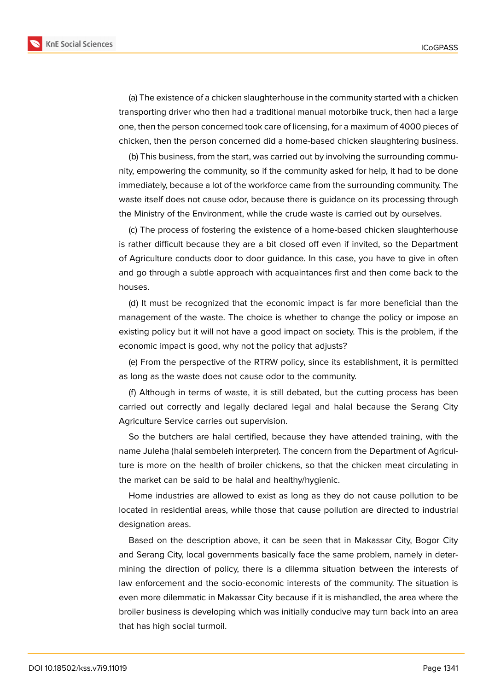(a) The existence of a chicken slaughterhouse in the community started with a chicken transporting driver who then had a traditional manual motorbike truck, then had a large one, then the person concerned took care of licensing, for a maximum of 4000 pieces of chicken, then the person concerned did a home-based chicken slaughtering business.

(b) This business, from the start, was carried out by involving the surrounding community, empowering the community, so if the community asked for help, it had to be done immediately, because a lot of the workforce came from the surrounding community. The waste itself does not cause odor, because there is guidance on its processing through the Ministry of the Environment, while the crude waste is carried out by ourselves.

(c) The process of fostering the existence of a home-based chicken slaughterhouse is rather difficult because they are a bit closed off even if invited, so the Department of Agriculture conducts door to door guidance. In this case, you have to give in often and go through a subtle approach with acquaintances first and then come back to the houses.

(d) It must be recognized that the economic impact is far more beneficial than the management of the waste. The choice is whether to change the policy or impose an existing policy but it will not have a good impact on society. This is the problem, if the economic impact is good, why not the policy that adjusts?

(e) From the perspective of the RTRW policy, since its establishment, it is permitted as long as the waste does not cause odor to the community.

(f) Although in terms of waste, it is still debated, but the cutting process has been carried out correctly and legally declared legal and halal because the Serang City Agriculture Service carries out supervision.

So the butchers are halal certified, because they have attended training, with the name Juleha (halal sembeleh interpreter). The concern from the Department of Agriculture is more on the health of broiler chickens, so that the chicken meat circulating in the market can be said to be halal and healthy/hygienic.

Home industries are allowed to exist as long as they do not cause pollution to be located in residential areas, while those that cause pollution are directed to industrial designation areas.

Based on the description above, it can be seen that in Makassar City, Bogor City and Serang City, local governments basically face the same problem, namely in determining the direction of policy, there is a dilemma situation between the interests of law enforcement and the socio-economic interests of the community. The situation is even more dilemmatic in Makassar City because if it is mishandled, the area where the broiler business is developing which was initially conducive may turn back into an area that has high social turmoil.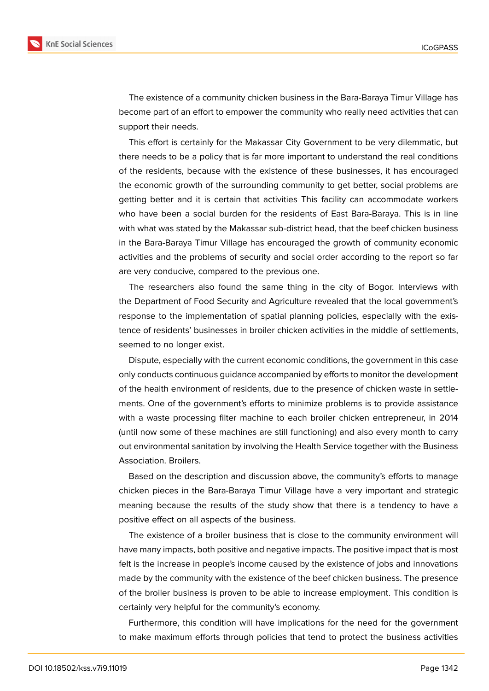

The existence of a community chicken business in the Bara-Baraya Timur Village has become part of an effort to empower the community who really need activities that can support their needs.

This effort is certainly for the Makassar City Government to be very dilemmatic, but there needs to be a policy that is far more important to understand the real conditions of the residents, because with the existence of these businesses, it has encouraged the economic growth of the surrounding community to get better, social problems are getting better and it is certain that activities This facility can accommodate workers who have been a social burden for the residents of East Bara-Baraya. This is in line with what was stated by the Makassar sub-district head, that the beef chicken business in the Bara-Baraya Timur Village has encouraged the growth of community economic activities and the problems of security and social order according to the report so far are very conducive, compared to the previous one.

The researchers also found the same thing in the city of Bogor. Interviews with the Department of Food Security and Agriculture revealed that the local government's response to the implementation of spatial planning policies, especially with the existence of residents' businesses in broiler chicken activities in the middle of settlements, seemed to no longer exist.

Dispute, especially with the current economic conditions, the government in this case only conducts continuous guidance accompanied by efforts to monitor the development of the health environment of residents, due to the presence of chicken waste in settlements. One of the government's efforts to minimize problems is to provide assistance with a waste processing filter machine to each broiler chicken entrepreneur, in 2014 (until now some of these machines are still functioning) and also every month to carry out environmental sanitation by involving the Health Service together with the Business Association. Broilers.

Based on the description and discussion above, the community's efforts to manage chicken pieces in the Bara-Baraya Timur Village have a very important and strategic meaning because the results of the study show that there is a tendency to have a positive effect on all aspects of the business.

The existence of a broiler business that is close to the community environment will have many impacts, both positive and negative impacts. The positive impact that is most felt is the increase in people's income caused by the existence of jobs and innovations made by the community with the existence of the beef chicken business. The presence of the broiler business is proven to be able to increase employment. This condition is certainly very helpful for the community's economy.

Furthermore, this condition will have implications for the need for the government to make maximum efforts through policies that tend to protect the business activities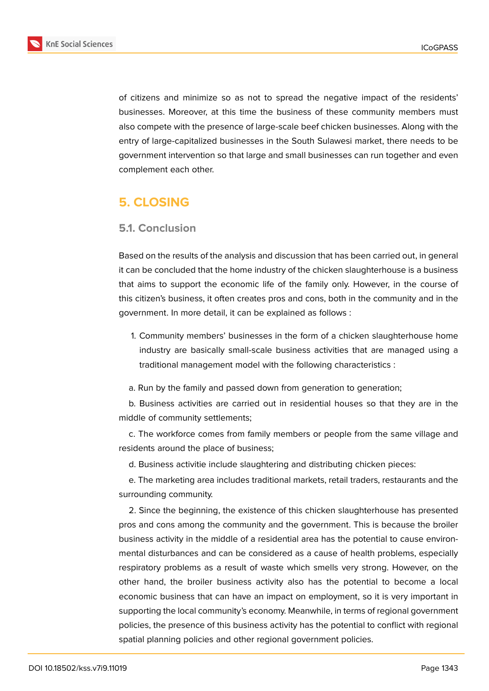

of citizens and minimize so as not to spread the negative impact of the residents' businesses. Moreover, at this time the business of these community members must also compete with the presence of large-scale beef chicken businesses. Along with the entry of large-capitalized businesses in the South Sulawesi market, there needs to be government intervention so that large and small businesses can run together and even complement each other.

# **5. CLOSING**

#### **5.1. Conclusion**

Based on the results of the analysis and discussion that has been carried out, in general it can be concluded that the home industry of the chicken slaughterhouse is a business that aims to support the economic life of the family only. However, in the course of this citizen's business, it often creates pros and cons, both in the community and in the government. In more detail, it can be explained as follows :

- 1. Community members' businesses in the form of a chicken slaughterhouse home industry are basically small-scale business activities that are managed using a traditional management model with the following characteristics :
- a. Run by the family and passed down from generation to generation;

b. Business activities are carried out in residential houses so that they are in the middle of community settlements;

c. The workforce comes from family members or people from the same village and residents around the place of business;

d. Business activitie include slaughtering and distributing chicken pieces:

e. The marketing area includes traditional markets, retail traders, restaurants and the surrounding community.

2. Since the beginning, the existence of this chicken slaughterhouse has presented pros and cons among the community and the government. This is because the broiler business activity in the middle of a residential area has the potential to cause environmental disturbances and can be considered as a cause of health problems, especially respiratory problems as a result of waste which smells very strong. However, on the other hand, the broiler business activity also has the potential to become a local economic business that can have an impact on employment, so it is very important in supporting the local community's economy. Meanwhile, in terms of regional government policies, the presence of this business activity has the potential to conflict with regional spatial planning policies and other regional government policies.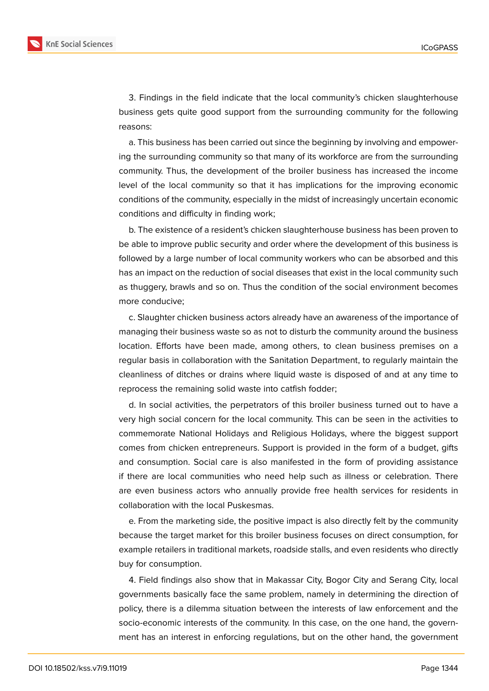

a. This business has been carried out since the beginning by involving and empowering the surrounding community so that many of its workforce are from the surrounding community. Thus, the development of the broiler business has increased the income level of the local community so that it has implications for the improving economic conditions of the community, especially in the midst of increasingly uncertain economic conditions and difficulty in finding work;

b. The existence of a resident's chicken slaughterhouse business has been proven to be able to improve public security and order where the development of this business is followed by a large number of local community workers who can be absorbed and this has an impact on the reduction of social diseases that exist in the local community such as thuggery, brawls and so on. Thus the condition of the social environment becomes more conducive;

c. Slaughter chicken business actors already have an awareness of the importance of managing their business waste so as not to disturb the community around the business location. Efforts have been made, among others, to clean business premises on a regular basis in collaboration with the Sanitation Department, to regularly maintain the cleanliness of ditches or drains where liquid waste is disposed of and at any time to reprocess the remaining solid waste into catfish fodder;

d. In social activities, the perpetrators of this broiler business turned out to have a very high social concern for the local community. This can be seen in the activities to commemorate National Holidays and Religious Holidays, where the biggest support comes from chicken entrepreneurs. Support is provided in the form of a budget, gifts and consumption. Social care is also manifested in the form of providing assistance if there are local communities who need help such as illness or celebration. There are even business actors who annually provide free health services for residents in collaboration with the local Puskesmas.

e. From the marketing side, the positive impact is also directly felt by the community because the target market for this broiler business focuses on direct consumption, for example retailers in traditional markets, roadside stalls, and even residents who directly buy for consumption.

4. Field findings also show that in Makassar City, Bogor City and Serang City, local governments basically face the same problem, namely in determining the direction of policy, there is a dilemma situation between the interests of law enforcement and the socio-economic interests of the community. In this case, on the one hand, the government has an interest in enforcing regulations, but on the other hand, the government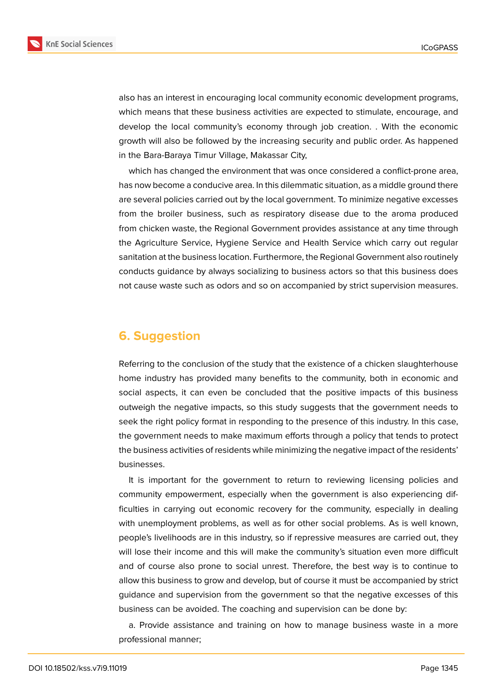

also has an interest in encouraging local community economic development programs, which means that these business activities are expected to stimulate, encourage, and develop the local community's economy through job creation. . With the economic growth will also be followed by the increasing security and public order. As happened in the Bara-Baraya Timur Village, Makassar City,

which has changed the environment that was once considered a conflict-prone area, has now become a conducive area. In this dilemmatic situation, as a middle ground there are several policies carried out by the local government. To minimize negative excesses from the broiler business, such as respiratory disease due to the aroma produced from chicken waste, the Regional Government provides assistance at any time through the Agriculture Service, Hygiene Service and Health Service which carry out regular sanitation at the business location. Furthermore, the Regional Government also routinely conducts guidance by always socializing to business actors so that this business does not cause waste such as odors and so on accompanied by strict supervision measures.

## **6. Suggestion**

Referring to the conclusion of the study that the existence of a chicken slaughterhouse home industry has provided many benefits to the community, both in economic and social aspects, it can even be concluded that the positive impacts of this business outweigh the negative impacts, so this study suggests that the government needs to seek the right policy format in responding to the presence of this industry. In this case, the government needs to make maximum efforts through a policy that tends to protect the business activities of residents while minimizing the negative impact of the residents' businesses.

It is important for the government to return to reviewing licensing policies and community empowerment, especially when the government is also experiencing difficulties in carrying out economic recovery for the community, especially in dealing with unemployment problems, as well as for other social problems. As is well known, people's livelihoods are in this industry, so if repressive measures are carried out, they will lose their income and this will make the community's situation even more difficult and of course also prone to social unrest. Therefore, the best way is to continue to allow this business to grow and develop, but of course it must be accompanied by strict guidance and supervision from the government so that the negative excesses of this business can be avoided. The coaching and supervision can be done by:

a. Provide assistance and training on how to manage business waste in a more professional manner;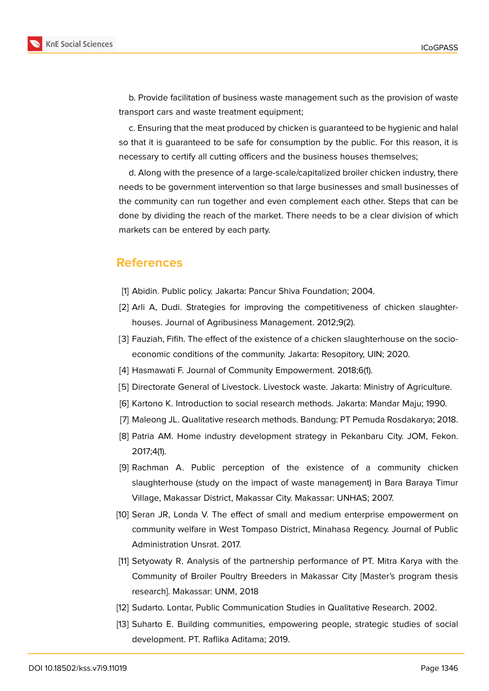

b. Provide facilitation of business waste management such as the provision of waste transport cars and waste treatment equipment;

c. Ensuring that the meat produced by chicken is guaranteed to be hygienic and halal so that it is guaranteed to be safe for consumption by the public. For this reason, it is necessary to certify all cutting officers and the business houses themselves;

d. Along with the presence of a large-scale/capitalized broiler chicken industry, there needs to be government intervention so that large businesses and small businesses of the community can run together and even complement each other. Steps that can be done by dividing the reach of the market. There needs to be a clear division of which markets can be entered by each party.

## **References**

- <span id="page-15-0"></span>[1] Abidin. Public policy. Jakarta: Pancur Shiva Foundation; 2004.
- <span id="page-15-1"></span>[2] Arli A, Dudi. Strategies for improving the competitiveness of chicken slaughterhouses. Journal of Agribusiness Management. 2012;9(2).
- <span id="page-15-2"></span>[3] Fauziah, Fifih. The effect of the existence of a chicken slaughterhouse on the socioeconomic conditions of the community. Jakarta: Resopitory, UIN; 2020.
- <span id="page-15-4"></span><span id="page-15-3"></span>[4] Hasmawati F. Journal of Community Empowerment. 2018;6(1).
- [5] Directorate General of Livestock. Livestock waste. Jakarta: Ministry of Agriculture.
- [6] Kartono K. Introduction to social research methods. Jakarta: Mandar Maju; 1990.
- [7] Maleong JL. Qualitative research methods. Bandung: PT Pemuda Rosdakarya; 2018.
- [8] Patria AM. Home industry development strategy in Pekanbaru City. JOM, Fekon. 2017;4(1).
- [9] Rachman A. Public perception of the existence of a community chicken slaughterhouse (study on the impact of waste management) in Bara Baraya Timur Village, Makassar District, Makassar City. Makassar: UNHAS; 2007.
- [10] Seran JR, Londa V. The effect of small and medium enterprise empowerment on community welfare in West Tompaso District, Minahasa Regency. Journal of Public Administration Unsrat. 2017.
- [11] Setyowaty R. Analysis of the partnership performance of PT. Mitra Karya with the Community of Broiler Poultry Breeders in Makassar City [Master's program thesis research]. Makassar: UNM, 2018
- [12] Sudarto. Lontar, Public Communication Studies in Qualitative Research. 2002.
- [13] Suharto E. Building communities, empowering people, strategic studies of social development. PT. Raflika Aditama; 2019.